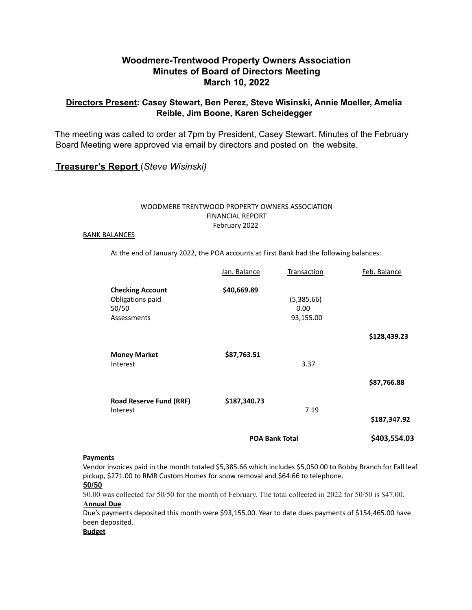## **Woodmere-Trentwood Property Owners Association Minutes of Board of Directors Meeting March 10, 2022**

## **Directors Present: Casey Stewart, Ben Perez, Steve Wisinski, Annie Moeller, Amelia Reible, Jim Boone, Karen Scheidegger**

The meeting was called to order at 7pm by President, Casey Stewart. Minutes of the February Board Meeting were approved via email by directors and posted on the website.

## **Treasurer's Report** (*Steve Wisinski)*

#### WOODMERE TRENTWOOD PROPERTY OWNERS ASSOCIATION FINANCIAL REPORT February 2022

#### BANK BALANCES

At the end of January 2022, the POA accounts at First Bank had the following balances:

|                                                                     | <b>POA Bank Total</b> |                                 | \$403,554.03 |
|---------------------------------------------------------------------|-----------------------|---------------------------------|--------------|
| <b>Road Reserve Fund (RRF)</b><br>Interest                          | \$187,340.73          | 7.19                            | \$187,347.92 |
| Interest                                                            |                       | 3.37                            | \$87,766.88  |
| <b>Money Market</b>                                                 | \$87,763.51           |                                 | \$128,439.23 |
| <b>Checking Account</b><br>Obligations paid<br>50/50<br>Assessments | \$40,669.89           | (5,385.66)<br>0.00<br>93,155.00 |              |
|                                                                     | Jan. Balance          | Transaction                     | Feb. Balance |

#### **Payments**

Vendor invoices paid in the month totaled \$5,385.66 which includes \$5,050.00 to Bobby Branch for Fall leaf pickup, \$271.00 to RMR Custom Homes for snow removal and \$64.66 to telephone.

#### **50/50**

\$0.00 was collected for 50/50 for the month of February. The total collected in 2022 for 50/50 is \$47.00. **Annual Due**

Due's payments deposited this month were \$93,155.00. Year to date dues payments of \$154,465.00 have been deposited.

#### **Budget**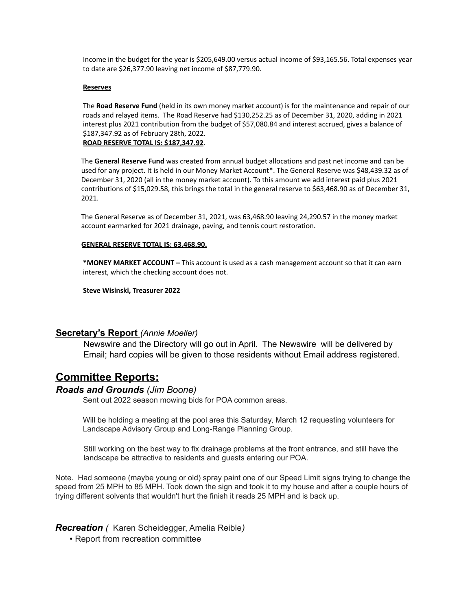Income in the budget for the year is \$205,649.00 versus actual income of \$93,165.56. Total expenses year to date are \$26,377.90 leaving net income of \$87,779.90.

#### **Reserves**

The **Road Reserve Fund** (held in its own money market account) is for the maintenance and repair of our roads and relayed items. The Road Reserve had \$130,252.25 as of December 31, 2020, adding in 2021 interest plus 2021 contribution from the budget of \$57,080.84 and interest accrued, gives a balance of \$187,347.92 as of February 28th, 2022. **ROAD RESERVE TOTAL IS: \$187,347.92**.

The **General Reserve Fund** was created from annual budget allocations and past net income and can be used for any project. It is held in our Money Market Account\*. The General Reserve was \$48,439.32 as of December 31, 2020 (all in the money market account). To this amount we add interest paid plus 2021 contributions of \$15,029.58, this brings the total in the general reserve to \$63,468.90 as of December 31, 2021.

The General Reserve as of December 31, 2021, was 63,468.90 leaving 24,290.57 in the money market account earmarked for 2021 drainage, paving, and tennis court restoration.

#### **GENERAL RESERVE TOTAL IS: 63,468.90.**

**\*MONEY MARKET ACCOUNT –** This account is used as a cash management account so that it can earn interest, which the checking account does not.

**Steve Wisinski, Treasurer 2022**

### **Secretary's Report** *(Annie Moeller)*

Newswire and the Directory will go out in April. The Newswire will be delivered by Email; hard copies will be given to those residents without Email address registered.

# **Committee Reports:**

## *Roads and Grounds (Jim Boone)*

Sent out 2022 season mowing bids for POA common areas.

Will be holding a meeting at the pool area this Saturday, March 12 requesting volunteers for Landscape Advisory Group and Long-Range Planning Group.

Still working on the best way to fix drainage problems at the front entrance, and still have the landscape be attractive to residents and guests entering our POA.

Note. Had someone (maybe young or old) spray paint one of our Speed Limit signs trying to change the speed from 25 MPH to 85 MPH. Took down the sign and took it to my house and after a couple hours of trying different solvents that wouldn't hurt the finish it reads 25 MPH and is back up.

*Recreation (* Karen Scheidegger, Amelia Reible*)*

• Report from recreation committee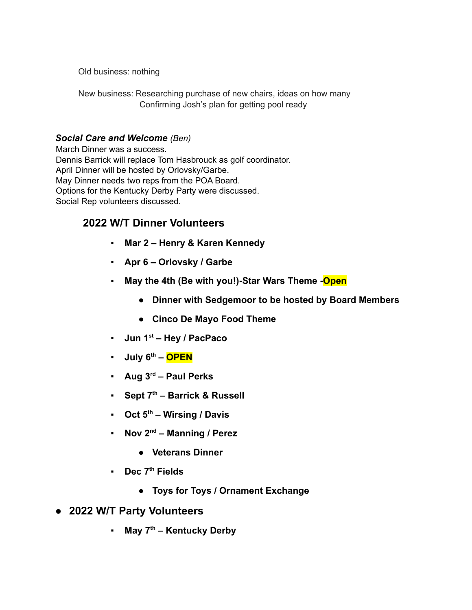Old business: nothing

New business: Researching purchase of new chairs, ideas on how many Confirming Josh's plan for getting pool ready

# *Social Care and Welcome (Ben)*

March Dinner was a success. Dennis Barrick will replace Tom Hasbrouck as golf coordinator. April Dinner will be hosted by Orlovsky/Garbe. May Dinner needs two reps from the POA Board. Options for the Kentucky Derby Party were discussed. Social Rep volunteers discussed.

# **2022 W/T Dinner Volunteers**

- **Mar 2 Henry & Karen Kennedy**
- **Apr 6 Orlovsky / Garbe**
- **May the 4th (Be with you!)-Star Wars Theme -Open**
	- **Dinner with Sedgemoor to be hosted by Board Members**
	- **● Cinco De Mayo Food Theme**
- **Jun 1st Hey / PacPaco**
- **July 6th – OPEN**
- **Aug 3rd Paul Perks**
- **Sept 7th Barrick & Russell**
- **Oct 5th Wirsing / Davis**
- **Nov 2nd Manning / Perez**
	- **Veterans Dinner**
- **Dec 7th Fields**
	- **Toys for Toys / Ornament Exchange**
- **2022 W/T Party Volunteers**
	- **May 7th Kentucky Derby**